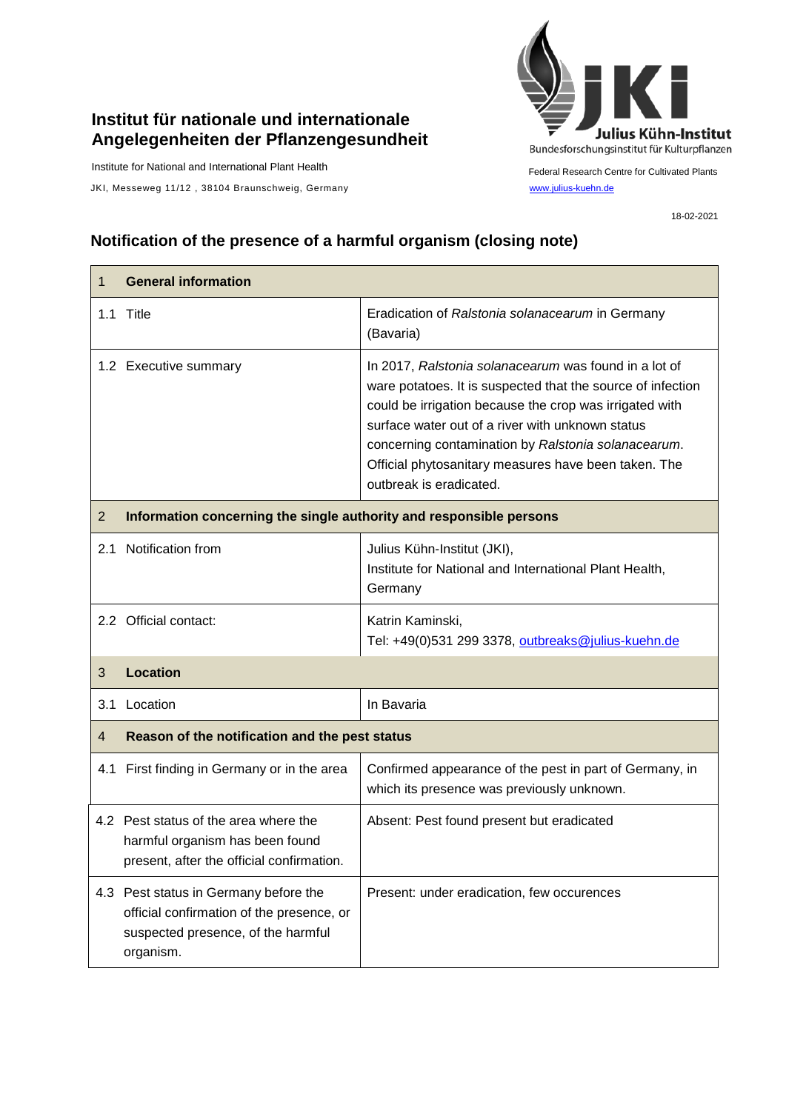## **Institut für nationale und internationale Angelegenheiten der Pflanzengesundheit**

Institute for National and International Plant Health

JKI, Messeweg 11/12, 38104 Braunschweig, Germany [www.julius-kuehn.de](http://www.julius-kuehn.de/)



Federal Research Centre for Cultivated Plants

18-02-2021

## **Notification of the presence of a harmful organism (closing note)**

| 1              | <b>General information</b>                                                                                                            |                                                                                                                                                                                                                                                                                                                                                                               |  |
|----------------|---------------------------------------------------------------------------------------------------------------------------------------|-------------------------------------------------------------------------------------------------------------------------------------------------------------------------------------------------------------------------------------------------------------------------------------------------------------------------------------------------------------------------------|--|
|                | 1.1 Title                                                                                                                             | Eradication of Ralstonia solanacearum in Germany<br>(Bavaria)                                                                                                                                                                                                                                                                                                                 |  |
|                | 1.2 Executive summary                                                                                                                 | In 2017, Ralstonia solanacearum was found in a lot of<br>ware potatoes. It is suspected that the source of infection<br>could be irrigation because the crop was irrigated with<br>surface water out of a river with unknown status<br>concerning contamination by Ralstonia solanacearum.<br>Official phytosanitary measures have been taken. The<br>outbreak is eradicated. |  |
| $\overline{2}$ | Information concerning the single authority and responsible persons                                                                   |                                                                                                                                                                                                                                                                                                                                                                               |  |
| 2.1            | Notification from                                                                                                                     | Julius Kühn-Institut (JKI),<br>Institute for National and International Plant Health,<br>Germany                                                                                                                                                                                                                                                                              |  |
|                | 2.2 Official contact:                                                                                                                 | Katrin Kaminski,<br>Tel: +49(0)531 299 3378, outbreaks@julius-kuehn.de                                                                                                                                                                                                                                                                                                        |  |
| 3              | <b>Location</b>                                                                                                                       |                                                                                                                                                                                                                                                                                                                                                                               |  |
| 3.1            | Location                                                                                                                              | In Bavaria                                                                                                                                                                                                                                                                                                                                                                    |  |
| 4              | Reason of the notification and the pest status                                                                                        |                                                                                                                                                                                                                                                                                                                                                                               |  |
|                | 4.1 First finding in Germany or in the area                                                                                           | Confirmed appearance of the pest in part of Germany, in<br>which its presence was previously unknown.                                                                                                                                                                                                                                                                         |  |
|                | 4.2 Pest status of the area where the<br>harmful organism has been found<br>present, after the official confirmation.                 | Absent: Pest found present but eradicated                                                                                                                                                                                                                                                                                                                                     |  |
|                | 4.3 Pest status in Germany before the<br>official confirmation of the presence, or<br>suspected presence, of the harmful<br>organism. | Present: under eradication, few occurences                                                                                                                                                                                                                                                                                                                                    |  |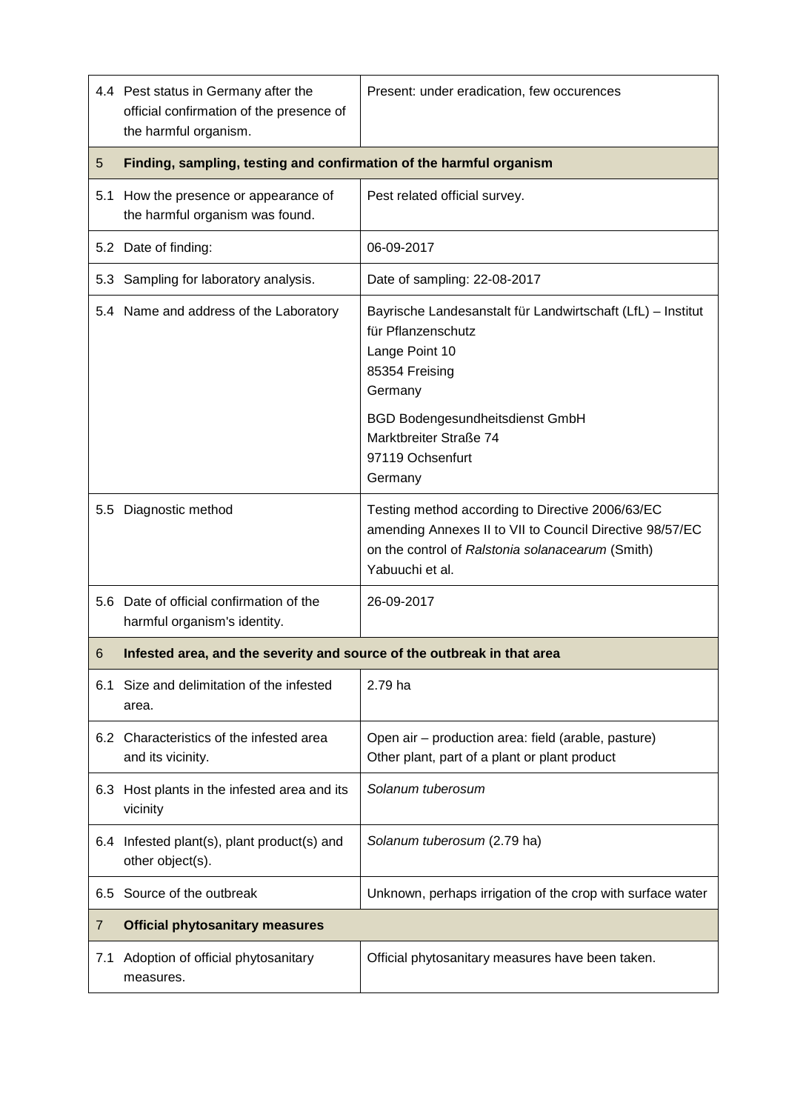|     | 4.4 Pest status in Germany after the<br>official confirmation of the presence of<br>the harmful organism. | Present: under eradication, few occurences                                                                                                                                          |  |
|-----|-----------------------------------------------------------------------------------------------------------|-------------------------------------------------------------------------------------------------------------------------------------------------------------------------------------|--|
| 5   | Finding, sampling, testing and confirmation of the harmful organism                                       |                                                                                                                                                                                     |  |
|     | 5.1 How the presence or appearance of<br>the harmful organism was found.                                  | Pest related official survey.                                                                                                                                                       |  |
|     | 5.2 Date of finding:                                                                                      | 06-09-2017                                                                                                                                                                          |  |
|     | 5.3 Sampling for laboratory analysis.                                                                     | Date of sampling: 22-08-2017                                                                                                                                                        |  |
|     | 5.4 Name and address of the Laboratory                                                                    | Bayrische Landesanstalt für Landwirtschaft (LfL) - Institut<br>für Pflanzenschutz<br>Lange Point 10<br>85354 Freising<br>Germany<br><b>BGD Bodengesundheitsdienst GmbH</b>          |  |
|     |                                                                                                           | Marktbreiter Straße 74<br>97119 Ochsenfurt<br>Germany                                                                                                                               |  |
|     | 5.5 Diagnostic method                                                                                     | Testing method according to Directive 2006/63/EC<br>amending Annexes II to VII to Council Directive 98/57/EC<br>on the control of Ralstonia solanacearum (Smith)<br>Yabuuchi et al. |  |
| 5.6 | Date of official confirmation of the<br>harmful organism's identity.                                      | 26-09-2017                                                                                                                                                                          |  |
| 6   | Infested area, and the severity and source of the outbreak in that area                                   |                                                                                                                                                                                     |  |
| 6.1 | Size and delimitation of the infested<br>area.                                                            | 2.79 ha                                                                                                                                                                             |  |
|     | 6.2 Characteristics of the infested area<br>and its vicinity.                                             | Open air - production area: field (arable, pasture)<br>Other plant, part of a plant or plant product                                                                                |  |
| 6.3 | Host plants in the infested area and its<br>vicinity                                                      | Solanum tuberosum                                                                                                                                                                   |  |
|     | 6.4 Infested plant(s), plant product(s) and<br>other object(s).                                           | Solanum tuberosum (2.79 ha)                                                                                                                                                         |  |
| 6.5 | Source of the outbreak                                                                                    | Unknown, perhaps irrigation of the crop with surface water                                                                                                                          |  |
| 7   | <b>Official phytosanitary measures</b>                                                                    |                                                                                                                                                                                     |  |
| 7.1 | Adoption of official phytosanitary<br>measures.                                                           | Official phytosanitary measures have been taken.                                                                                                                                    |  |